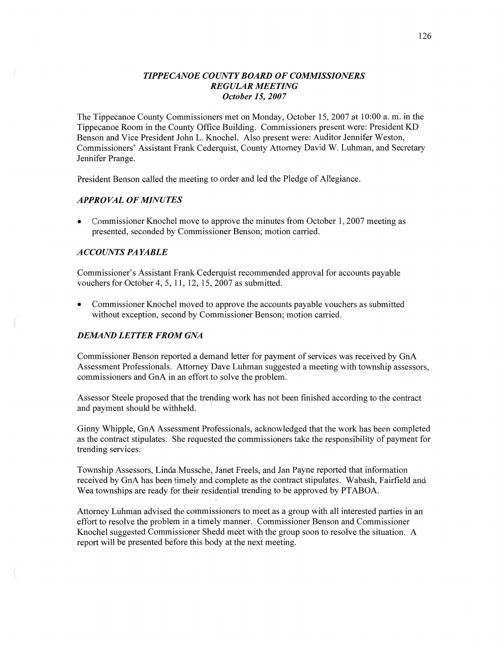# *TIPPECANOE COUNT Y BOARD* OF *COMMISSIONERS REGULAR MEETING October* 15, *2007*

The Tippecanoe County Commissioners met on Monday, October 15, 2007 at 10:00 a. m. in the Tippecanoe Room in the County Office Building. Commissioners present were: President KD Benson and Vice President John L. Knochel. Also present were: Auditor Jennifer Weston, Commissioners' Assistant Frank Cederquist, County Attorney David W. Luhman, and Secretary Jennifer Prange.

President Benson called the meeting to order and led the Pledge of Allegiance.

# **APPROVAL OF MINUTES**

**0** Commissioner Knochel move to approve the minutes from October 1, 2007 meeting as presented, seconded by Commissioner Benson; motion carried.

# *A* CCO UN *T S* PA *YABLE*

Commissioner's Assistant Frank Cederquist recommended approval for accounts payable vouchers for October 4, 5, 11, 12, 15, 2007 as submitted.

**0** Commissioner Knochel moved to approve the accounts payable vouchers as submitted without exception, second by Commissioner Benson; motion carried.

## *DEMAND LETTER FROM GNA*

Commissioner Benson reported a demand letter for payment of services was received by GnA Assessment Professionals. Attorney Dave Luhman suggested **a** meeting with township assessors, commissioners and GnA in an effort to solve the problem.

Assessor Steele proposed that the trending work has not been finished according to the contract and payment should be withheld.

Ginny Whipple, GnA Assessment Professionals, acknowledged that the work has been completed as the contract stipulates. She requested the commissioners take the responsibility of payment for trending services.

Township Assessors, Linda Mussche, Janet Freels, and Jan Payne reported **that** information received by GnA has been timely and complete as the contract stipulates. Wabash, Fairfield and Wea townships are ready for their residential trending to be approved by PTABOA.

Attorney Luhman advised the commissioners to meet as a group with all interested parties in an effort to resolve the problem in a timely manner. Commissioner Benson and Commissioner Knochel suggested Commissioner Shedd meet with the group soon to resolve the situation. **A**  report will be presented before this body at the next meeting.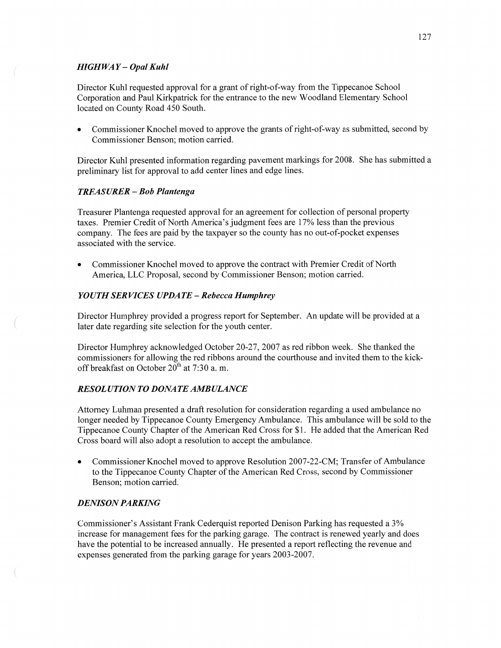# *HIGHWAY* **—** *Opal Kuhl*

Director Kuhl requested approval for a grant of right-of—way from the Tippecanoe School Corporation and Paul Kirkpatrick for the entrance to the new Woodland Elementary School located on County Road 450 South.

**0** Commissioner Knochel moved to approve the grants of right-of-way as submitted, second by Commissioner Benson; motion carried.

Director Kuhl presented information regarding pavement markings for 2008. She has submitted a preliminary list for approval to add center lines and edge lines.

# *TREASURER* **—** Bob *Plantenga*

Treasurer Plantenga requested approval for an agreement for collection of personal property taxes. Premier Credit of North America's judgment fees are 17% less than the previous company. The fees are paid by the taxpayer so the county has no out—of—pocket expenses associated with the service.

**0** Commissioner Knochel moved to approve the contract with Premier Credit of North America, LLC Proposal, second by Commissioner Benson; motion carried.

### *YOUTH SERVICES UPDATE - Rebecca Humphrey*

Director Humphrey provided a progress report for September. An update will be provided at a later date regarding site selection for the youth center.

Director Humphrey acknowledged October 20-27, 2007 as red ribbon week. She **thanked** the commissioners for allowing the red ribbons around the courthouse and invited them to the kickoff breakfast on October  $20^{th}$  at 7:30 a.m.

# *RESOLUTION* T0 *DONATE AMBULANCE*

Attorney Luhman presented a draft resolution for consideration regarding a used ambulance no longer needed by Tippecanoe County Emergency Ambulance. This ambulance will be sold to the Tippecanoe County Chapter of the American Red Cross for \$1. He added that the American Red Cross board will also adopt **a** resolution to accept the ambulance.

• Commissioner Knochel moved to approve Resolution 2007-22-CM; Transfer of Ambulance to the Tippecanoe County Chapter of the American Red Cross, second by Commissioner Benson; motion carried.

#### *DENISON PARKING*

Commissioner's Assistant Frank Cederquist reported Denison **Parkn** has requested a 3% increase for management fees for the parking garage. The contract is renewed yearly and does have the potential to be increased annually. He presented **a** report reflecting the revenue and expenses generated from the parking garage for years 2003-2007.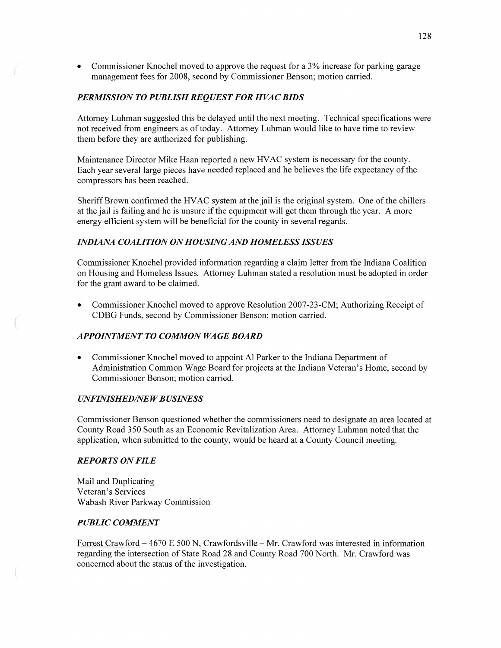**0** Commissioner Knochel moved to approve the request for **a** 3% increase for parking garage management fees for 2008, second by Commissioner Benson; motion carried.

# **PERMISSION TO PUBLISH REQUEST FOR HVAC BIDS**

Attorney Luhman suggested this be delayed until the next meeting. Technical specifications were not received from engineers as of today. Attorney Luhman would like to **have** time to review them before they are authorized for publishing.

Maintenance Director Mike Haan reported a new **HVAC** system is necessary for the county. Each year several large pieces have needed replaced and he believes the life expectancy of the compressors has been reached.

Sheriff Brown confirmed the HVAC system at the jail is the original system. One of the chillers at the **jail** is failing and he is unsure if the equipment will get them through the year. A more energy efficient system will be beneficial for the county in several regards.

# *INDIANA COALITION* 0N *HOUSING* AND *HOMELESS ISSUES*

Commissioner Knochel provided information regarding a claim letter from the Indiana Coalition on Housing and Homeless Issues. Attorney Luhman stated a resolution must be adopted in order for the grant award to be claimed.

Commissioner Knochel moved to approve Resolution 2007-23-CM; Authorizing Receipt of CDBG Funds, second by Commissioner Benson; motion carried.

# **APPOINTMENT TO COMMON WAGE BOARD**

**0** Commissioner Knochel moved to appoint A1 Parker to the Indiana Department of Administration Common Wage Board for projects at the Indiana Veteran's Home, second by Commissioner Benson; motion carried.

### *UNFINISHED/NE W B USINESS*

Commissioner Benson questioned Whether the commissioners need to designate an area located at County Road 350 South as an Economic Revitalization Area. Attorney Luhman noted that the application, when submitted to the county, would be heard at **a** County Council meeting.

# *REPORTS* ON *FILE*

Mail and Duplicating Veteran's Services Wabash River Parkway Commission

# *PUBLIC COMMENT*

 $\left($ 

Forrest Crawford — 4670 E 500 N, Crawfordsville **—** Mr. Crawford was interested in information regarding the intersection of State Road 28 and County Road 700 North. Mr. Crawford was concerned about the status of the investigation.